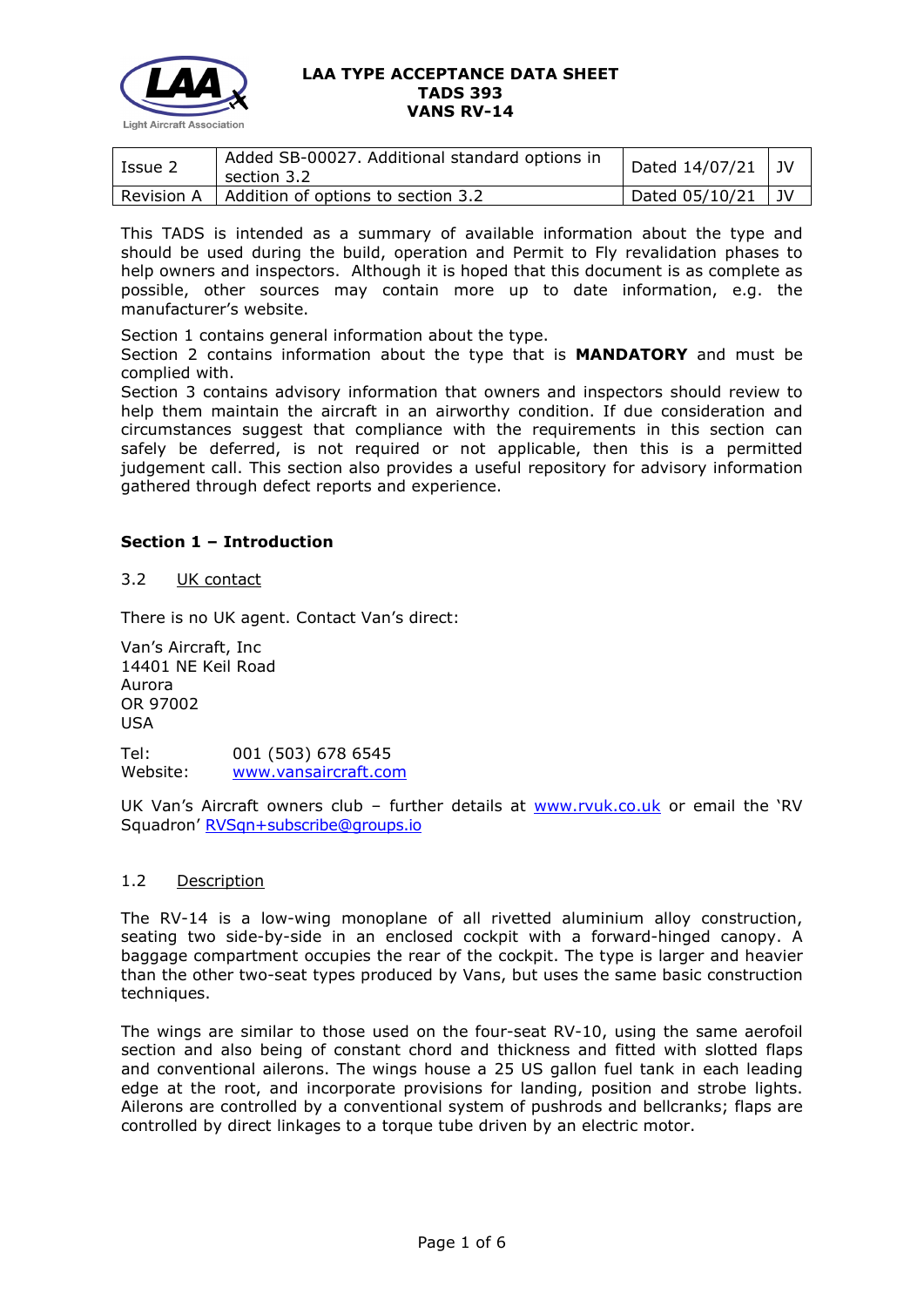

| Issue 2 | Added SB-00027. Additional standard options in<br>section 3.2 | Dated $14/07/21$ JV |  |
|---------|---------------------------------------------------------------|---------------------|--|
|         | Revision A   Addition of options to section 3.2               | Dated $05/10/21$ JV |  |

This TADS is intended as a summary of available information about the type and should be used during the build, operation and Permit to Fly revalidation phases to help owners and inspectors. Although it is hoped that this document is as complete as possible, other sources may contain more up to date information, e.g. the manufacturer's website.

Section 1 contains general information about the type.

Section 2 contains information about the type that is **MANDATORY** and must be complied with.

Section 3 contains advisory information that owners and inspectors should review to help them maintain the aircraft in an airworthy condition. If due consideration and circumstances suggest that compliance with the requirements in this section can safely be deferred, is not required or not applicable, then this is a permitted judgement call. This section also provides a useful repository for advisory information gathered through defect reports and experience.

### **Section 1 – Introduction**

### 3.2 UK contact

There is no UK agent. Contact Van's direct:

Van's Aircraft, Inc 14401 NE Keil Road Aurora OR 97002 USA

Tel: 001 (503) 678 6545 Website: [www.vansaircraft.com](http://www.vansaircraft.com/)

UK Van's Aircraft owners club – further details at [www.rvuk.co.uk](http://www.rvuk.co.uk/) or email the 'RV Squadron' [RVSqn+subscribe@groups.io](mailto:RVSqn+subscribe@groups.io)

### 1.2 Description

The RV-14 is a low-wing monoplane of all rivetted aluminium alloy construction, seating two side-by-side in an enclosed cockpit with a forward-hinged canopy. A baggage compartment occupies the rear of the cockpit. The type is larger and heavier than the other two-seat types produced by Vans, but uses the same basic construction techniques.

The wings are similar to those used on the four-seat RV-10, using the same aerofoil section and also being of constant chord and thickness and fitted with slotted flaps and conventional ailerons. The wings house a 25 US gallon fuel tank in each leading edge at the root, and incorporate provisions for landing, position and strobe lights. Ailerons are controlled by a conventional system of pushrods and bellcranks; flaps are controlled by direct linkages to a torque tube driven by an electric motor.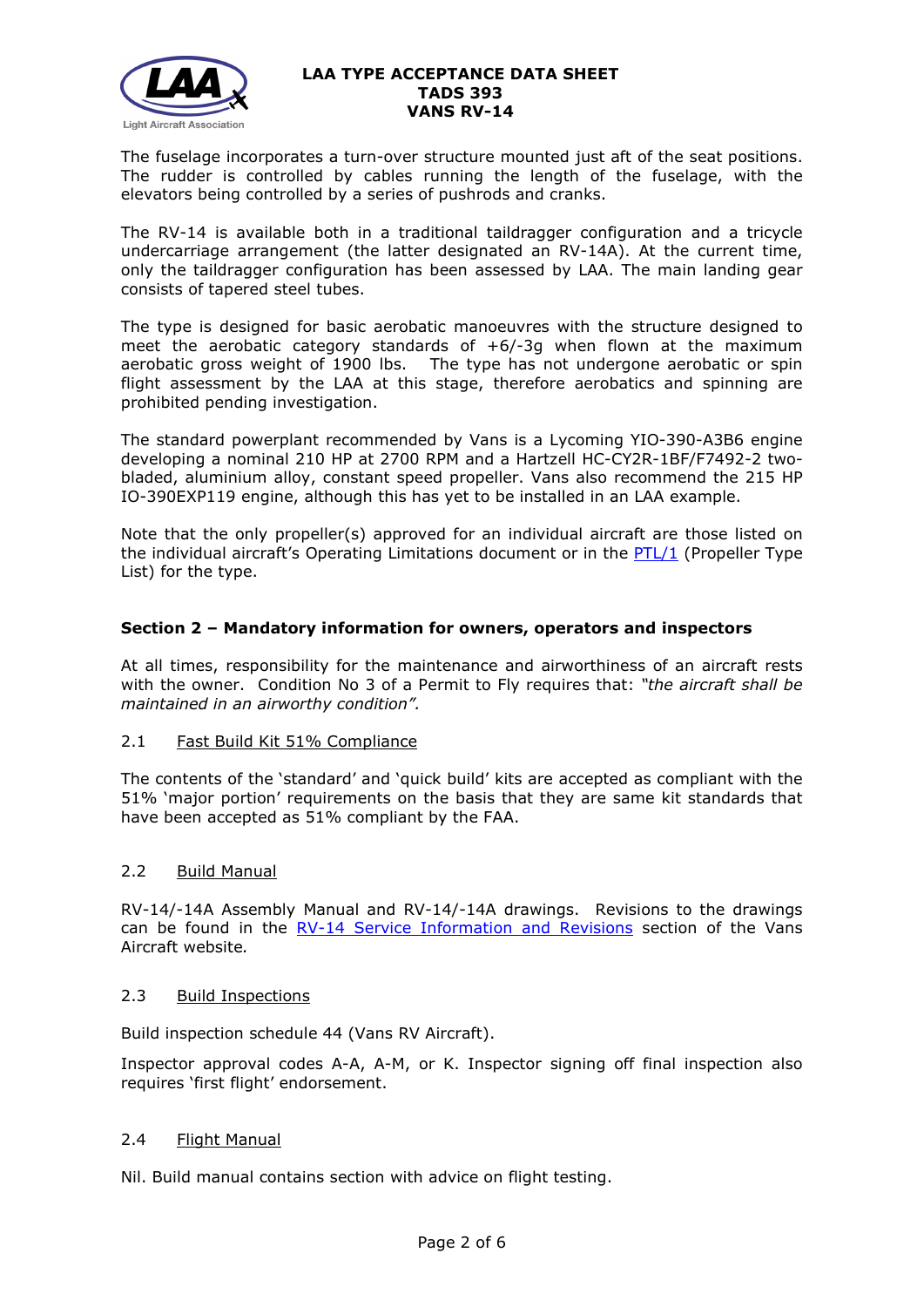

The fuselage incorporates a turn-over structure mounted just aft of the seat positions. The rudder is controlled by cables running the length of the fuselage, with the elevators being controlled by a series of pushrods and cranks.

The RV-14 is available both in a traditional taildragger configuration and a tricycle undercarriage arrangement (the latter designated an RV-14A). At the current time, only the taildragger configuration has been assessed by LAA. The main landing gear consists of tapered steel tubes.

The type is designed for basic aerobatic manoeuvres with the structure designed to meet the aerobatic category standards of  $+6/-3g$  when flown at the maximum aerobatic gross weight of 1900 lbs. The type has not undergone aerobatic or spin flight assessment by the LAA at this stage, therefore aerobatics and spinning are prohibited pending investigation.

The standard powerplant recommended by Vans is a Lycoming YIO-390-A3B6 engine developing a nominal 210 HP at 2700 RPM and a Hartzell HC-CY2R-1BF/F7492-2 twobladed, aluminium alloy, constant speed propeller. Vans also recommend the 215 HP IO-390EXP119 engine, although this has yet to be installed in an LAA example.

Note that the only propeller(s) approved for an individual aircraft are those listed on the individual aircraft's Operating Limitations document or in the [PTL/1](http://www.lightaircraftassociation.co.uk/engineering/NewMods/PTL.html) (Propeller Type List) for the type.

### **Section 2 – Mandatory information for owners, operators and inspectors**

At all times, responsibility for the maintenance and airworthiness of an aircraft rests with the owner. Condition No 3 of a Permit to Fly requires that: *"the aircraft shall be maintained in an airworthy condition".* 

### 2.1 Fast Build Kit 51% Compliance

The contents of the 'standard' and 'quick build' kits are accepted as compliant with the 51% 'major portion' requirements on the basis that they are same kit standards that have been accepted as 51% compliant by the FAA.

### 2.2 Build Manual

RV-14/-14A Assembly Manual and RV-14/-14A drawings. Revisions to the drawings can be found in the RV-14 [Service Information and Revisions](https://www.vansaircraft.com/service-information-and-revisions/?aircraft=rv-14&doctype=all&sort=date) section of the Vans Aircraft website*.*

### 2.3 Build Inspections

Build inspection schedule 44 (Vans RV Aircraft).

Inspector approval codes A-A, A-M, or K. Inspector signing off final inspection also requires 'first flight' endorsement.

### 2.4 Flight Manual

Nil. Build manual contains section with advice on flight testing.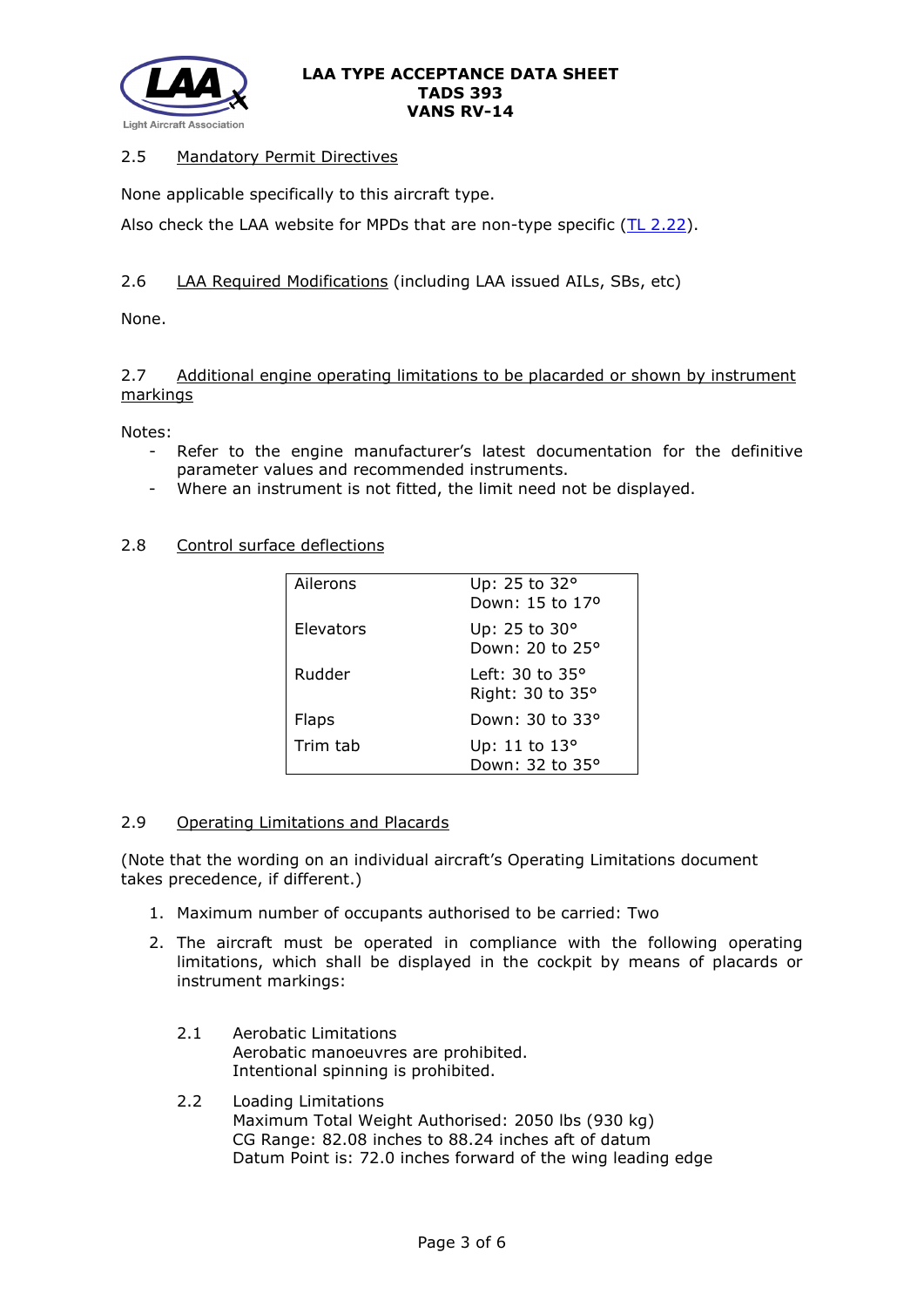

## 2.5 Mandatory Permit Directives

None applicable specifically to this aircraft type.

Also check the LAA website for MPDs that are non-type specific  $(TL 2.22)$ .

# 2.6 LAA Required Modifications (including LAA issued AILs, SBs, etc)

None.

## 2.7 Additional engine operating limitations to be placarded or shown by instrument markings

Notes:

- Refer to the engine manufacturer's latest documentation for the definitive parameter values and recommended instruments.
- Where an instrument is not fitted, the limit need not be displayed.

### 2.8 Control surface deflections

| Ailerons     | Up: 25 to 32°<br>Down: 15 to 17 <sup>o</sup>  |
|--------------|-----------------------------------------------|
| Elevators    | Up: 25 to 30°<br>Down: 20 to 25°              |
| Rudder       | Left: 30 to 35 $^{\circ}$<br>Right: 30 to 35° |
| <b>Flaps</b> | Down: 30 to 33°                               |
| Trim tab     | Up: 11 to 13°<br>Down: 32 to 35°              |

### 2.9 Operating Limitations and Placards

(Note that the wording on an individual aircraft's Operating Limitations document takes precedence, if different.)

- 1. Maximum number of occupants authorised to be carried: Two
- 2. The aircraft must be operated in compliance with the following operating limitations, which shall be displayed in the cockpit by means of placards or instrument markings:
	- 2.1 Aerobatic Limitations Aerobatic manoeuvres are prohibited. Intentional spinning is prohibited.
	- 2.2 Loading Limitations Maximum Total Weight Authorised: 2050 lbs (930 kg) CG Range: 82.08 inches to 88.24 inches aft of datum Datum Point is: 72.0 inches forward of the wing leading edge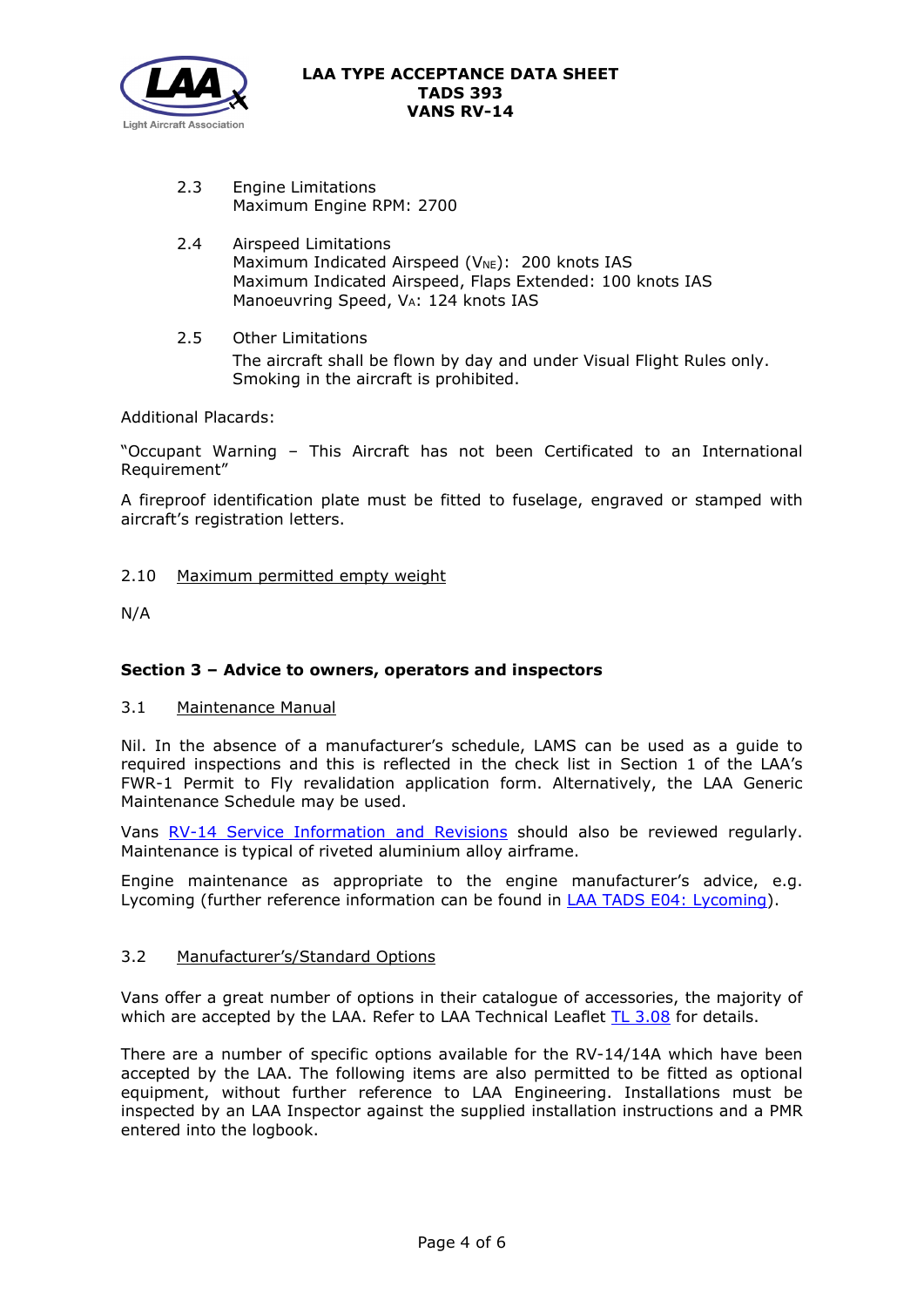

- 2.3 Engine Limitations Maximum Engine RPM: 2700
- 2.4 Airspeed Limitations Maximum Indicated Airspeed (V<sub>NE</sub>): 200 knots IAS Maximum Indicated Airspeed, Flaps Extended: 100 knots IAS Manoeuvring Speed, VA: 124 knots IAS
- 2.5 Other Limitations The aircraft shall be flown by day and under Visual Flight Rules only. Smoking in the aircraft is prohibited.

Additional Placards:

"Occupant Warning – This Aircraft has not been Certificated to an International Requirement"

A fireproof identification plate must be fitted to fuselage, engraved or stamped with aircraft's registration letters.

### 2.10 Maximum permitted empty weight

N/A

# **Section 3 – Advice to owners, operators and inspectors**

### 3.1 Maintenance Manual

Nil. In the absence of a manufacturer's schedule, LAMS can be used as a guide to required inspections and this is reflected in the check list in Section 1 of the LAA's FWR-1 Permit to Fly revalidation application form. Alternatively, the LAA Generic Maintenance Schedule may be used.

Vans RV-14 [Service Information and Revisions](https://www.vansaircraft.com/service-information-and-revisions/?aircraft=rv-14&doctype=all&sort=date) should also be reviewed regularly. Maintenance is typical of riveted aluminium alloy airframe.

Engine maintenance as appropriate to the engine manufacturer's advice, e.g. Lycoming (further reference information can be found in **LAA TADS E04: Lycoming**).

### 3.2 Manufacturer's/Standard Options

Vans offer a great number of options in their catalogue of accessories, the majority of which are accepted by the LAA. Refer to LAA Technical Leaflet [TL 3.08](http://www.lightaircraftassociation.co.uk/engineering/TechnicalLeaflets/Mods%20and%20Repairs/TL%203.08%20Manufacturers%20Options%20for%20Vans%20Aircraft.pdf) for details.

There are a number of specific options available for the RV-14/14A which have been accepted by the LAA. The following items are also permitted to be fitted as optional equipment, without further reference to LAA Engineering. Installations must be inspected by an LAA Inspector against the supplied installation instructions and a PMR entered into the logbook.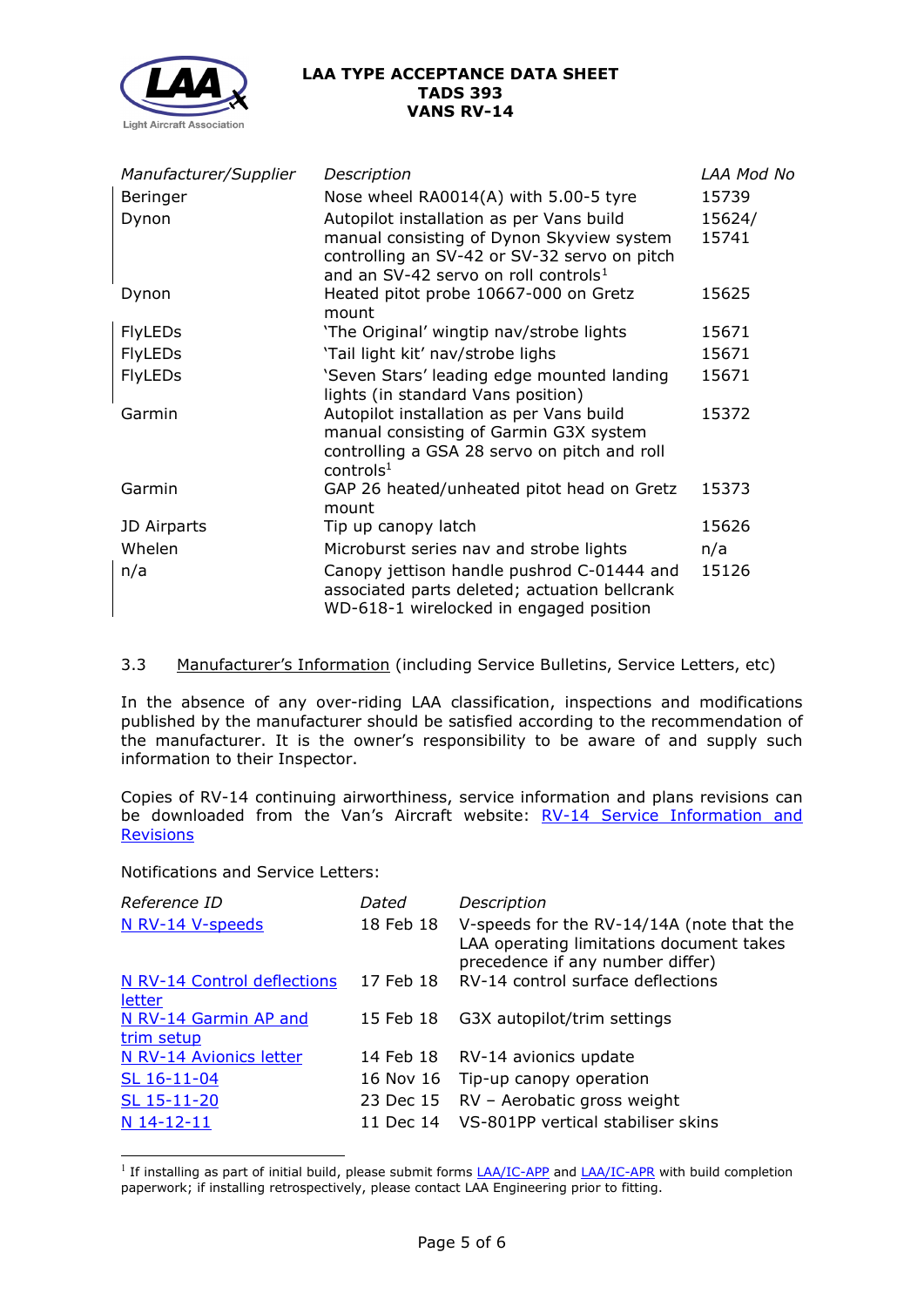

| Manufacturer/Supplier | Description                                                                                                                                                 | LAA Mod No |
|-----------------------|-------------------------------------------------------------------------------------------------------------------------------------------------------------|------------|
| Beringer              | Nose wheel RA0014(A) with 5.00-5 tyre                                                                                                                       | 15739      |
| Dynon                 | Autopilot installation as per Vans build                                                                                                                    | 15624/     |
|                       | manual consisting of Dynon Skyview system<br>controlling an SV-42 or SV-32 servo on pitch<br>and an SV-42 servo on roll controls <sup>1</sup>               | 15741      |
| Dynon                 | Heated pitot probe 10667-000 on Gretz<br>mount                                                                                                              | 15625      |
| <b>FlyLEDs</b>        | 'The Original' wingtip nav/strobe lights                                                                                                                    | 15671      |
| <b>FlyLEDs</b>        | 'Tail light kit' nav/strobe lighs                                                                                                                           | 15671      |
| <b>FlyLEDs</b>        | 'Seven Stars' leading edge mounted landing<br>lights (in standard Vans position)                                                                            | 15671      |
| Garmin                | Autopilot installation as per Vans build<br>manual consisting of Garmin G3X system<br>controlling a GSA 28 servo on pitch and roll<br>controls <sup>1</sup> | 15372      |
| Garmin                | GAP 26 heated/unheated pitot head on Gretz<br>mount                                                                                                         | 15373      |
| JD Airparts           | Tip up canopy latch                                                                                                                                         | 15626      |
| Whelen                | Microburst series nav and strobe lights                                                                                                                     | n/a        |
| n/a                   | Canopy jettison handle pushrod C-01444 and<br>associated parts deleted; actuation bellcrank<br>WD-618-1 wirelocked in engaged position                      | 15126      |

# 3.3 Manufacturer's Information (including Service Bulletins, Service Letters, etc)

In the absence of any over-riding LAA classification, inspections and modifications published by the manufacturer should be satisfied according to the recommendation of the manufacturer. It is the owner's responsibility to be aware of and supply such information to their Inspector.

Copies of RV-14 continuing airworthiness, service information and plans revisions can be downloaded from the Van's Aircraft website: RV-14 Service Information and **[Revisions](https://www.vansaircraft.com/service-information-and-revisions/?aircraft=rv-14&doctype=all&sort=date)** 

Notifications and Service Letters:

| Reference ID                          | Dated     | Description                                                                                                               |
|---------------------------------------|-----------|---------------------------------------------------------------------------------------------------------------------------|
| N RV-14 V-speeds                      | 18 Feb 18 | V-speeds for the RV-14/14A (note that the<br>LAA operating limitations document takes<br>precedence if any number differ) |
| N RV-14 Control deflections<br>letter |           | 17 Feb 18 RV-14 control surface deflections                                                                               |
| N RV-14 Garmin AP and<br>trim setup   | 15 Feb 18 | G3X autopilot/trim settings                                                                                               |
| N RV-14 Avionics letter               |           | 14 Feb 18 RV-14 avionics update                                                                                           |
| SL 16-11-04                           | 16 Nov 16 | Tip-up canopy operation                                                                                                   |
| SL 15-11-20                           | 23 Dec 15 | RV - Aerobatic gross weight                                                                                               |
| N 14-12-11                            | 11 Dec 14 | VS-801PP vertical stabiliser skins                                                                                        |

<span id="page-4-0"></span><sup>&</sup>lt;sup>1</sup> If installing as part of initial build, please submit forms  $LA/IC-APP$  and  $LA/IC-APP$  with build completion</u></u> paperwork; if installing retrospectively, please contact LAA Engineering prior to fitting.